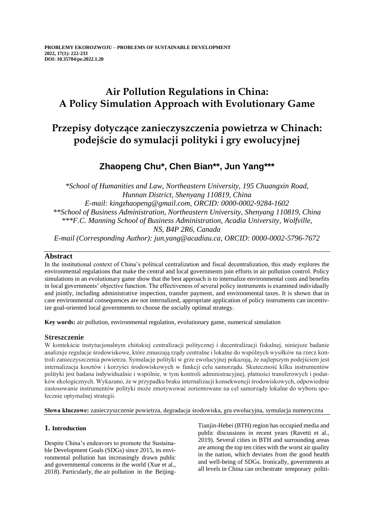## **Air Pollution Regulations in China: A Policy Simulation Approach with Evolutionary Game**

# **Przepisy dotyczące zanieczyszczenia powietrza w Chinach: podejście do symulacji polityki i gry ewolucyjnej**

## **Zhaopeng Chu\*, Chen Bian\*\*, Jun Yang\*\*\***

*\*School of Humanities and Law, Northeastern University, 195 Chuangxin Road, Hunnan District, Shenyang 110819, China E-mail: kingzhaopeng@gmail.com, ORCID: 0000-0002-9284-1602 \*\*School of Business Administration, Northeastern University, Shenyang 110819, China \*\*\*F.C. Manning School of Business Administration, Acadia University, Wolfville, NS, B4P 2R6, Canada E-mail (Corresponding Author): jun.yang@acadiau.ca, ORCID: 0000-0002-5796-7672*

## **Abstract**

In the institutional context of China's political centralization and fiscal decentralization, this study explores the environmental regulations that make the central and local governments join efforts in air pollution control. Policy simulations in an evolutionary game show that the best approach is to internalize environmental costs and benefits in local governments' objective function. The effectiveness of several policy instruments is examined individually and jointly, including administrative inspection, transfer payment, and environmental taxes. It is shown that in case environmental consequences are not internalized, appropriate application of policy instruments can incentivize goal-oriented local governments to choose the socially optimal strategy.

**Key words:** air pollution, environmental regulation, evolutionary game, numerical simulation

## **Streszczenie**

W kontekście instytucjonalnym chińskiej centralizacji politycznej i decentralizacji fiskalnej, niniejsze badanie analizuje regulacje środowiskowe, które zmuszają rządy centralne i lokalne do wspólnych wysiłków na rzecz kontroli zanieczyszczenia powietrza. Symulacje polityki w grze ewolucyjnej pokazują, że najlepszym podejściem jest internalizacja kosztów i korzyści środowiskowych w funkcji celu samorządu. Skuteczność kilku instrumentów polityki jest badana indywidualnie i wspólnie, w tym kontroli administracyjnej, płatności transferowych i podatków ekologicznych. Wykazano, że w przypadku braku internalizacji konsekwencji środowiskowych, odpowiednie zastosowanie instrumentów polityki może zmotywować zorientowane na cel samorządy lokalne do wyboru społecznie optymalnej strategii.

**Słowa kluczowe:** zanieczyszczenie powietrza, degradacja środowiska, gra ewolucyjna, symulacja numeryczna

## **1. Introduction**

Despite China's endeavors to promote the Sustainable Development Goals (SDGs) since 2015, its environmental pollution has increasingly drawn public and governmental concerns in the world (Xue et al., 2018). Particularly, the air pollution in the BeijingTianjin-Hebei (BTH) region has occupied media and public discussions in recent years (Ravetti et al., 2019). Several cities in BTH and surrounding areas are among the top ten cities with the worst air quality in the nation, which deviates from the good health and well-being of SDGs. Ironically, governments at all levels in China can orchestrate temporary politi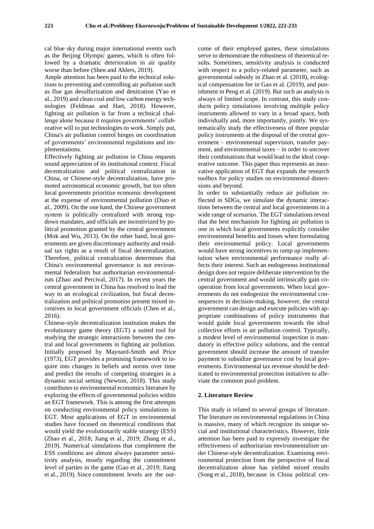cal blue sky during major international events such as the Beijing Olympic games, which is often followed by a dramatic deterioration in air quality worse than before (Shen and Ahlers, 2019).

Ample attention has been paid to the technical solutions to preventing and controlling air pollution such as flue gas desulfurization and denitration (Yao et al., 2019) and clean coal and low carbon energy technologies (Feldman and Hart, 2018). However, fighting air pollution is far from a technical challenge alone because it requires governments' collaborative will to put technologies to work. Simply put, China's air pollution control hinges on coordination of governments' environmental regulations and implementations.

Effectively fighting air pollution in China requests sound appreciation of its institutional context. Fiscal decentralization and political centralization in China, or Chinese-style decentralization, have promoted astronomical economic growth, but too often local governments prioritize economic development at the expense of environmental pollution (Diao et al., 2009). On the one hand, the Chinese government system is politically centralized with strong topdown mandates, and officials are incentivized by political promotion granted by the central government (Mok and Wu, 2013). On the other hand, local governments are given discretionary authority and residual tax rights as a result of fiscal decentralization. Therefore, political centralization determines that China's environmental governance is not environmental federalism but authoritarian environmentalism (Zhao and Percival, 2017). In recent years the central government in China has resolved to lead the way to an ecological civilization, but fiscal decentralization and political promotion present mixed incentives to local government officials (Chen et al., 2016).

Chinese-style decentralization institution makes the evolutionary game theory (EGT) a suited tool for studying the strategic interactions between the central and local governments in fighting air pollution. Initially proposed by Maynard-Smith and Price (1973), EGT provides a promising framework to inquire into changes in beliefs and norms over time and predict the results of competing strategies in a dynamic social setting (Newton, 2018). This study contributes to environmental economics literature by exploring the effects of governmental policies within an EGT framework. This is among the first attempts on conducting environmental policy simulations in EGT. Most applications of EGT in environmental studies have focused on theoretical conditions that would yield the evolutionarily stable strategy (ESS) (Zhao et al., 2018; Jiang et al., 2019; Zhang et al., 2019). Numerical simulations that complement the ESS conditions are almost always parameter sensitivity analysis, mostly regarding the commitment level of parties in the game (Gao et al., 2019; Jiang et al., 2019). Since commitment levels are the out-

come of their employed games, these simulations serve to demonstrate the robustness of theoretical results. Sometimes, sensitivity analysis is conducted with respect to a policy-related parameter, such as governmental subsidy in Zhao et al. (2018), ecological compensation fee in Gao et al. (2019), and punishment in Peng et al. (2019). But such an analysis is always of limited scope. In contrast, this study conducts policy simulations involving multiple policy instruments allowed to vary in a broad space, both individually and, more importantly, jointly. We systematically study the effectiveness of three popular policy instruments at the disposal of the central government – environmental supervision, transfer payment, and environmental taxes – in order to uncover their combinations that would lead to the ideal cooperative outcome. This paper thus represents an innovative application of EGT that expands the research toolbox for policy studies on environmental dimensions and beyond.

In order to substantially reduce air pollution reflected in SDGs, we simulate the dynamic interactions between the central and local governments in a wide range of scenarios. The EGT simulations reveal that the best mechanism for fighting air pollution is one in which local governments explicitly consider environmental benefits and losses when formulating their environmental policy. Local governments would have strong incentives to ramp up implementation when environmental performance really affects their interest. Such an endogenous institutional design does not require deliberate intervention by the central government and would intrinsically gain cooperation from local governments. When local governments do not endogenize the environmental consequences in decision-making, however, the central government can design and execute policies with appropriate combinations of policy instruments that would guide local governments towards the ideal collective efforts in air pollution control. Typically, a modest level of environmental inspection is mandatory in effective policy solutions, and the central government should increase the amount of transfer payment to subsidize governance cost by local governments. Environmental tax revenue should be dedicated to environmental protection initiatives to alleviate the common pool problem.

### **2. Literature Review**

This study is related to several groups of literature. The literature on environmental regulations in China is massive, many of which recognize its unique social and institutional characteristics. However, little attention has been paid to expressly investigate the effectiveness of authoritarian environmentalism under Chinese-style decentralization. Examining environmental protection from the perspective of fiscal decentralization alone has yielded mixed results (Song et al., 2018), because in China political cen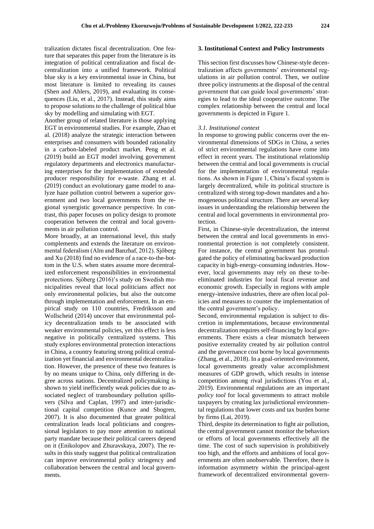tralization dictates fiscal decentralization. One feature that separates this paper from the literature is its integration of political centralization and fiscal decentralization into a unified framework. Political blue sky is a key environmental issue in China, but most literature is limited to revealing its causes (Shen and Ahlers, 2019), and evaluating its consequences (Liu, et al., 2017). Instead, this study aims to propose solutions to the challenge of political blue sky by modelling and simulating with EGT.

Another group of related literature is those applying EGT in environmental studies. For example, Zhao et al. (2018) analyze the strategic interaction between enterprises and consumers with bounded rationality in a carbon-labeled product market. Peng et al. (2019) build an EGT model involving government regulatory departments and electronics manufacturing enterprises for the implementation of extended producer responsibility for e-waste. Zhang et al. (2019) conduct an evolutionary game model to analyze haze pollution control between a superior government and two local governments from the regional synergistic governance perspective. In contrast, this paper focuses on policy design to promote cooperation between the central and local governments in air pollution control.

More broadly, at an international level, this study complements and extends the literature on environmental federalism (Alm and Banzhaf, 2012). Sjöberg and Xu (2018) find no evidence of a race-to-the-bottom in the U.S. when states assume more decentralized enforcement responsibilities in environmental protections. Sjöberg (2016)'s study on Swedish municipalities reveal that local politicians affect not only environmental policies, but also the outcome through implementation and enforcement. In an empirical study on 110 countries, Fredriksson and Wollscheid (2014) uncover that environmental policy decentralization tends to be associated with weaker environmental policies, yet this effect is less negative in politically centralized systems. This study explores environmental protection interactions in China, a country featuring strong political centralization yet financial and environmental decentralization. However, the presence of these two features is by no means unique to China, only differing in degree across nations. Decentralized policymaking is shown to yield inefficiently weak policies due to associated neglect of transboundary pollution spillovers (Silva and Caplan, 1997) and inter-jurisdictional capital competition (Kunce and Shogren, 2007). It is also documented that greater political centralization leads local politicians and congressional legislators to pay more attention to national party mandate because their political careers depend on it (Enikolopov and Zhuravskaya, 2007). The results in this study suggest that political centralization can improve environmental policy stringency and collaboration between the central and local governments.

#### **3. Institutional Context and Policy Instruments**

This section first discusses how Chinese-style decentralization affects governments' environmental regulations in air pollution control. Then, we outline three policy instruments at the disposal of the central government that can guide local governments' strategies to lead to the ideal cooperative outcome. The complex relationship between the central and local governments is depicted in Figure 1.

#### *3.1. Institutional context*

In response to growing public concerns over the environmental dimensions of SDGs in China, a series of strict environmental regulations have come into effect in recent years. The institutional relationship between the central and local governments is crucial for the implementation of environmental regulations. As shown in Figure 1, China's fiscal system is largely decentralized, while its political structure is centralized with strong top-down mandates and a homogeneous political structure. There are several key issues in understanding the relationship between the central and local governments in environmental protection.

First, in Chinese-style decentralization, the interest between the central and local governments in environmental protection is not completely consistent. For instance, the central government has promulgated the policy of eliminating backward production capacity in high-energy-consuming industries. However, local governments may rely on these to-beeliminated industries for local fiscal revenue and economic growth. Especially in regions with ample energy-intensive industries, there are often local policies and measures to counter the implementation of the central government's policy.

Second, environmental regulation is subject to discretion in implementations, because environmental decentralization requires self-financing by local governments. There exists a clear mismatch between positive externality created by air pollution control and the governance cost borne by local governments (Zhang, et al., 2018). In a goal-oriented environment, local governments greatly value accomplishment measures of GDP growth, which results in intense competition among rival jurisdictions (You et al., 2019). Environmental regulations are an important *policy tool* for local governments to attract mobile taxpayers by creating lax jurisdictional environmental regulations that lower costs and tax burden borne by firms (Lai, 2019).

Third, despite its determination to fight air pollution, the central government cannot monitor the behaviors or efforts of local governments effectively all the time. The cost of such supervision is prohibitively too high, and the efforts and ambitions of local governments are often unobservable. Therefore, there is information asymmetry within the principal-agent framework of decentralized environmental govern-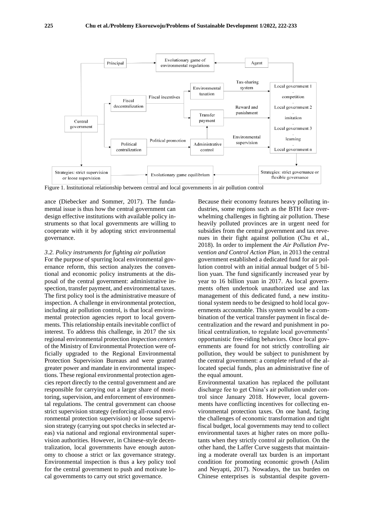

Figure 1. Institutional relationship between central and local governments in air pollution control

ance (Diebecker and Sommer, 2017). The fundamental issue is thus how the central government can design effective institutions with available policy instruments so that local governments are willing to cooperate with it by adopting strict environmental governance.

#### *3.2. Policy instruments for fighting air pollution*

For the purpose of spurring local environmental governance reform, this section analyzes the conventional and economic policy instruments at the disposal of the central government: administrative inspection, transfer payment, and environmental taxes. The first policy tool is the administrative measure of inspection. A challenge in environmental protection, including air pollution control, is that local environmental protection agencies report to local governments. This relationship entails inevitable conflict of interest. To address this challenge, in 2017 the six regional environmental protection *inspection centers* of the Ministry of Environmental Protection were officially upgraded to the Regional Environmental Protection Supervision Bureaus and were granted greater power and mandate in environmental inspections. These regional environmental protection agencies report directly to the central government and are responsible for carrying out a larger share of monitoring, supervision, and enforcement of environmental regulations. The central government can choose strict supervision strategy (enforcing all-round environmental protection supervision) or loose supervision strategy (carrying out spot checks in selected areas) via national and regional environmental supervision authorities. However, in Chinese-style decentralization, local governments have enough autonomy to choose a strict or lax governance strategy. Environmental inspection is thus a key policy tool for the central government to push and motivate local governments to carry out strict governance.

Because their economy features heavy polluting industries, some regions such as the BTH face overwhelming challenges in fighting air pollution. These heavily polluted provinces are in urgent need for subsidies from the central government and tax revenues in their fight against pollution (Chu et al., 2018). In order to implement the *Air Pollution Prevention and Control Action Plan*, in 2013 the central government established a dedicated fund for air pollution control with an initial annual budget of 5 billion yuan. The fund significantly increased year by year to 16 billion yuan in 2017. As local governments often undertook unauthorized use and lax management of this dedicated fund, a new institutional system needs to be designed to hold local governments accountable. This system would be a combination of the vertical transfer payment in fiscal decentralization and the reward and punishment in political centralization, to regulate local governments' opportunistic free-riding behaviors. Once local governments are found for not strictly controlling air pollution, they would be subject to punishment by the central government: a complete refund of the allocated special funds, plus an administrative fine of the equal amount.

Environmental taxation has replaced the pollutant discharge fee to get China's air pollution under control since January 2018. However, local governments have conflicting incentives for collecting environmental protection taxes. On one hand, facing the challenges of economic transformation and tight fiscal budget, local governments may tend to collect environmental taxes at higher rates on more pollutants when they strictly control air pollution. On the other hand, the Laffer Curve suggests that maintaining a moderate overall tax burden is an important condition for promoting economic growth (Aslim and Neyapti, 2017). Nowadays, the tax burden on Chinese enterprises is substantial despite govern-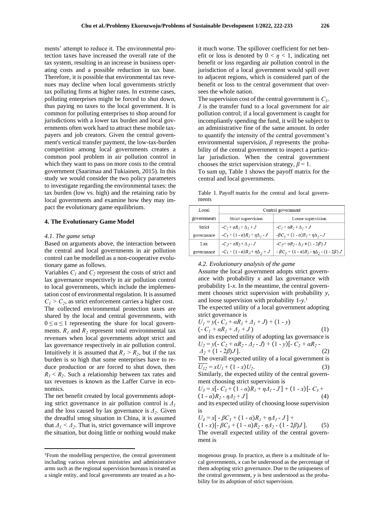ments' attempt to reduce it. The environmental protection taxes have increased the overall rate of the tax system, resulting in an increase in business operating costs and a possible reduction in tax base. Therefore, it is possible that environmental tax revenues may decline when local governments strictly tax polluting firms at higher rates. In extreme cases, polluting enterprises might be forced to shut down, thus paying no taxes to the local government. It is common for polluting enterprises to shop around for jurisdictions with a lower tax burden and local governments often work hard to attract these mobile taxpayers and job creators. Given the central government's vertical transfer payment, the low-tax-burden competition among local governments creates a common pool problem in air pollution control in which they want to pass on more costs to the central government (Saarimaa and Tukiainen, 2015). In this study we would consider the two policy parameters to investigate regarding the environmental taxes: the tax burden (low vs. high) and the retaining ratio by local governments and examine how they may impact the evolutionary game equilibrium.

#### **4. The Evolutionary Game Model**

#### *4.1. The game setup*

Based on arguments above, the interaction between the central and local governments in air pollution control can be modelled as a non-cooperative evolutionary game as follows.

Variables  $C_1$  and  $C_2$  represent the costs of strict and lax governance respectively in air pollution control to local governments, which include the implementation cost of environmental regulation. It is assumed  $C_1 > C_2$ , as strict enforcement carries a higher cost. The collected environmental protection taxes are shared by the local and central governments, with  $0 \le \alpha \le 1$  representing the share for local governments.  $R_1$  and  $R_2$  represent total environmental tax revenues when local governments adopt strict and lax governance respectively in air pollution control. Intuitively it is assumed that  $R_1 > R_2$ , but if the tax burden is so high that some enterprises have to reduce production or are forced to shut down, then  $R_1$  
in  $R_2$ . Such a relationship between tax rates and tax revenues is known as the Laffer Curve in economics.

The net benefit created by local governments adopting strict governance in air pollution control is  $\Delta_l$ and the loss caused by lax governance is *Δ<sup>2</sup>* . Given the dreadful smog situation in China, it is assumed that  $\Delta_1 \leq \Delta_2$ . That is, strict governance will improve the situation, but doing little or nothing would make

it much worse. The spillover coefficient for net benefit or loss is denoted by  $0 < \eta < 1$ , indicating net benefit or loss regarding air pollution control in the jurisdiction of a local government would spill over to adjacent regions, which is considered part of the benefit or loss to the central government that oversees the whole nation.

The supervision cost of the central government is  $C_3$ . *J* is the transfer fund to a local government for air pollution control; if a local government is caught for incompliantly spending the fund, it will be subject to an administrative fine of the same amount. In order to quantify the intensity of the central government's environmental supervision, *β* represents the probability of the central government to inspect a particular jurisdiction. When the central government chooses the strict supervision strategy,  $\beta = 1$ . To sum up, Table 1 shows the payoff matrix for the central and local governments.

Table 1. Payoff matrix for the central and local governments

| Local       | Central government                           |                                                                   |  |  |  |  |
|-------------|----------------------------------------------|-------------------------------------------------------------------|--|--|--|--|
| governments | Strict supervision                           | Loose supervision                                                 |  |  |  |  |
| Strict      | $-C_1 + \alpha R_1 + \Delta_1 + J$           | $-C_1 + \alpha R_1 + \Delta_1 + J$                                |  |  |  |  |
| governance  | $-C_3 + (1 - \alpha)R_1 + \eta \Delta_1 - J$ | $-\beta C_3 + (1 - \alpha)R_1 + \eta \Delta_1 - J$                |  |  |  |  |
| Lax         | $-C_2 + \alpha R_2 + \Delta_2 - J$           | $-C_2 + aR_2 - \Delta_2 + (1 - 2\beta)J$                          |  |  |  |  |
| governance  | $-C_3 + (1 - \alpha)R_2 + \eta\Delta_2 + J$  | $- \beta C_3 + (1 - \alpha) R_2 - \eta \Delta_2 - (1 - 2\beta) J$ |  |  |  |  |

*4.2. Evolutionary analysis of the game*

Assume the local government adopts strict governance with probability *x* and lax governance with probability 1-*x*. In the meantime, the central government chooses strict supervision with probability *y*, and loose supervision with probability 1-*y*. 1

The expected utility of a local government adopting strict governance is

$$
U_1 = y(-C_1 + \alpha R_1 + \Delta_1 + J) + (1 - y)
$$
  
(-C<sub>1</sub> + \alpha R<sub>1</sub> + \Delta\_1 + J) (1)

and its expected utility of adopting lax governance is  $U_2 = y(-C_2 + aR_2 - \Delta_2 - J) + (1 - y)[-C_2 + aR_2 - J]$ 

 $\Delta_2 + (1 - 2\beta)J$ ]. (2) The overall expected utility of a local government is  $\overline{U_{12}} = xU_1 + (1 - x)U_2$ .  $\hspace{1.6cm} . \hspace{1.1cm} (3)$ 

Similarly, the expected utility of the central government choosing strict supervision is

$$
U_3 = x[-C_3 + (1 - \alpha)R_1 + \eta A_1 - J] + (1 - x)[-C_3 + (1 - \alpha)R_2 - \eta A_2 + J]
$$
\n(4)

and its expected utility of choosing loose supervision is

 $U_4 = x[-\beta C_3 + (1 - \alpha)R_1 + \eta A_1 - J] +$ 

 $(1 - x)\left[-\beta C_3 + (1 - \alpha)R_2 - \eta A_2 - (1 - 2\beta)J\right]$ . (5) The overall expected utility of the central government is

mogenous group. In practice, as there is a multitude of local governments, *x* can be understood as the percentage of them adopting strict governance. Due to the uniqueness of the central government, *y* is best understood as the probability for its adoption of strict supervision.

<sup>1</sup>From the modelling perspective, the central government including various relevant ministries and administrative arms such as the regional supervision bureaus is treated as a single entity, and local governments are treated as a ho-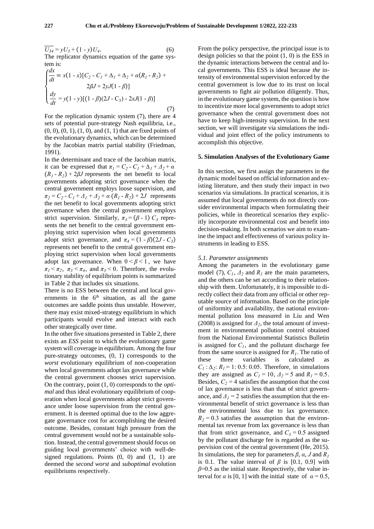$\overline{U_{34}} = yU_3 + (1 - y)U_4$ . .  $(6)$ The replicator dynamics equation of the game system is:

$$
\begin{cases}\n\frac{dx}{dt} = x(1-x)[C_2 - C_1 + \Delta_1 + \Delta_2 + \alpha(R_1 - R_2) + 2\beta J + 2yJ(1 - \beta)] \\
\frac{dy}{dt} = y(1 - y)[(1 - \beta)(2J - C_3) - 2xJ(1 - \beta)]\n\end{cases}
$$
\n(7)

For the replication dynamic system (7), there are 4 sets of potential pure-strategy Nash equilibria, i.e., (0, 0), (0, 1), (1, 0), and (1, 1) that are fixed points of the evolutionary dynamics, which can be determined by the Jacobian matrix partial stability (Friedman, 1991).

In the determinant and trace of the Jacobian matrix, it can be expressed that  $\pi_1 = C_2 - C_1 + \Delta_1 + \Delta_2 + \alpha$  $(R_1 - R_2) + 2\beta J$  represents the net benefit to local governments adopting strict governance when the central government employs loose supervision, and  $\pi_2 = C_2 - C_1 + \Delta_1 + \Delta_2 + \alpha (R_1 - R_2) + 2J$  represents the net benefit to local governments adopting strict governance when the central government employs strict supervision. Similarly,  $\pi_3 = (\beta - 1) C_3$  represents the net benefit to the central government employing strict supervision when local governments adopt strict governance, and  $\pi_4 = (1 - \beta)(2J - C_3)$ represents net benefit to the central government employing strict supervision when local governments adopt lax governance. When  $0 < \beta < 1$ , we have  $\pi_1 < \pi_2$ ,  $\pi_3 < \pi_4$ , and  $\pi_3 < 0$ . Therefore, the evolutionary stability of equilibrium points is summarized in Table 2 that includes six situations.

There is no ESS between the central and local governments in the  $6<sup>th</sup>$  situation, as all the game outcomes are saddle points thus unstable. However, there may exist mixed-strategy equilibrium in which participants would evolve and interact with each other strategically over time.

In the other five situations presented in Table 2, there exists an *ESS* point to which the evolutionary game system will coverage in equilibrium. Among the four pure-strategy outcomes, (0, 1) corresponds to the *worst* evolutionary equilibrium of non-cooperation when local governments adopt lax governance while the central government chooses strict supervision. On the contrary, point (1, 0) corresponds to the *optimal* and thus ideal evolutionary equilibrium of cooperation when local governments adopt strict governance under loose supervision from the central government. It is deemed optimal due to the low aggregate governance cost for accomplishing the desired outcome. Besides, constant high pressure from the central government would not be a sustainable solution. Instead, the central government should focus on guiding local governments' choice with well-designed regulations. Points (0, 0) and (1, 1) are deemed the *second worst* and *suboptimal* evolution equilibriums respectively.

From the policy perspective, the principal issue is to design policies so that the point  $(1, 0)$  is the ESS in the dynamic interactions between the central and local governments. This ESS is ideal because *the* intensity of environmental supervision enforced by the central government is low due to its trust on local governments to fight air pollution diligently. Thus, in the evolutionary game system, the question is how to incentivize more local governments to adopt strict governance when the central government does not have to keep high-intensity supervision. In the next section, we will investigate via simulations the individual and joint effect of the policy instruments to accomplish this objective.

#### **5. Simulation Analyses of the Evolutionary Game**

In this section, we first assign the parameters in the dynamic model based on official information and existing literature, and then study their impact in two scenarios via simulations. In practical scenarios, it is assumed that local governments do not directly consider environmental impacts when formulating their policies, while in theoretical scenarios they explicitly incorporate environmental cost and benefit into decision-making. In both scenarios we aim to examine the impact and effectiveness of various policy instruments in leading to ESS.

#### *5.1. Parameter assignments*

Among the parameters in the evolutionary game model (7),  $C_1$ ,  $\Delta_2$  and  $R_1$  are the main parameters, and the others can be set according to their relationship with them. Unfortunately, it is impossible to directly collect their data from any official or other reputable source of information. Based on the principle of uniformity and availability, the national environmental pollution loss measured in Liu and Wen (2008) is assigned for  $\Delta_2$ , the total amount of investment in environmental pollution control obtained from the National Environmental Statistics Bulletin is assigned for  $C_I$ , and the pollutant discharge fee from the same source is assigned for  $R<sub>l</sub>$ . The ratio of these three variables is calculated as  $C_1$ :  $\Delta_2$ :  $R_1$  = 1: 0.5: 0.05. Therefore, in simulations they are assigned as  $C_1 = 10$ ,  $A_2 = 5$  and  $R_1 = 0.5$ . Besides,  $C_2$  = 4 satisfies the assumption that the cost of lax governance is less than that of strict governance, and  $\Delta_l = 2$  satisfies the assumption that the environmental benefit of strict governance is less than the environmental loss due to lax governance.  $R_2 = 0.3$  satisfies the assumption that the environmental tax revenue from lax governance is less than that from strict governance, and  $C_3 = 0.5$  assigned by the pollutant discharge fee is regarded as the supervision cost of the central government (He, 2015). In simulations, the step for parameters *β*, *α*, *J* and *R<sup>1</sup>* is 0.1. The value interval of  $\beta$  is [0.1, 0.9] with  $\beta$ =0.5 as the initial state. Respectively, the value interval for  $\alpha$  is [0, 1] with the initial state of  $\alpha = 0.5$ ,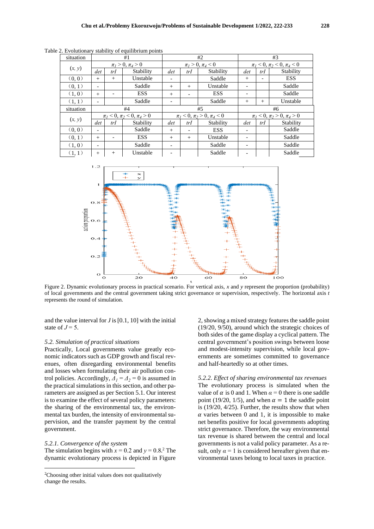| situation | #1                                    |                          |                                       | #2                       |                          |                                       | #3                       |        |            |  |
|-----------|---------------------------------------|--------------------------|---------------------------------------|--------------------------|--------------------------|---------------------------------------|--------------------------|--------|------------|--|
| (x, y)    | $\pi_1 > 0, \pi_4 > 0$                |                          | $\pi_1 > 0, \pi_4 < 0$                |                          |                          | $\pi_1$ < 0, $\pi_2$ < 0, $\pi_4$ < 0 |                          |        |            |  |
|           | det                                   | trI                      | Stability                             | det                      | trI                      | Stability                             | det                      | trI    | Stability  |  |
| (0, 0)    | $^{+}$                                | $^{+}$                   | Unstable                              |                          |                          | Saddle                                | $+$                      |        | <b>ESS</b> |  |
| (0,1)     | -                                     |                          | Saddle                                | $^{+}$                   | $^{+}$                   | Unstable                              | $\overline{\phantom{a}}$ |        | Saddle     |  |
| (1,0)     | $^{+}$                                | $\overline{\phantom{a}}$ | <b>ESS</b>                            | $^{+}$                   | $\overline{\phantom{a}}$ | <b>ESS</b>                            | -                        |        | Saddle     |  |
| (1,1)     | -                                     |                          | Saddle                                | $\overline{\phantom{a}}$ |                          | Saddle                                | $+$                      | $^{+}$ | Unstable   |  |
| situation | #4                                    |                          |                                       | #5                       |                          |                                       | #6                       |        |            |  |
| (x, y)    | $\pi_1$ < 0, $\pi_2$ < 0, $\pi_4$ > 0 |                          | $\pi_1$ < 0, $\pi_2$ > 0, $\pi_4$ < 0 |                          |                          | $\pi_1$ < 0, $\pi_2$ > 0, $\pi_4$ > 0 |                          |        |            |  |
|           | det                                   | trI                      | Stability                             | det                      | trI                      | Stability                             | det                      | trI    | Stability  |  |
| (0,0)     | $\overline{\phantom{a}}$              |                          | Saddle                                | $^{+}$                   | $\overline{\phantom{a}}$ | <b>ESS</b>                            | $\overline{\phantom{a}}$ |        | Saddle     |  |
| (0, 1)    | $^{+}$                                | $\overline{\phantom{a}}$ | <b>ESS</b>                            | $^{+}$                   | $^{+}$                   | Unstable                              | -                        |        | Saddle     |  |
| (1,0)     | -                                     |                          | Saddle                                | -                        |                          | Saddle                                | $\overline{\phantom{a}}$ |        | Saddle     |  |
| (1,1)     | $^{+}$                                | $^{+}$                   | Unstable                              |                          |                          | Saddle                                |                          |        | Saddle     |  |

Table 2. Evolutionary stability of equilibrium points



Figure 2. Dynamic evolutionary process in practical scenario. For vertical axis, *x* and *y* represent the proportion (probability) of local governments and the central government taking strict governance or supervision, respectively. The horizontal axis *t* represents the round of simulation.

and the value interval for *J* is [0.1, 10] with the initial state of  $J = 5$ .

#### *5.2. Simulation of practical situations*

Practically, Local governments value greatly economic indicators such as GDP growth and fiscal revenues, often disregarding environmental benefits and losses when formulating their air pollution control policies. Accordingly,  $\overline{A_1} = \overline{A_2} = 0$  is assumed in the practical simulations in this section, and other parameters are assigned as per Section 5.1. Our interest is to examine the effect of several policy parameters: the sharing of the environmental tax, the environmental tax burden, the intensity of environmental supervision, and the transfer payment by the central government.

#### *5.2.1. Convergence of the system*

The simulation begins with  $x = 0.2$  and  $y = 0.8$ .<sup>2</sup> The dynamic evolutionary process is depicted in Figure

2, showing a mixed strategy features the saddle point (19/20, 9/50), around which the strategic choices of both sides of the game display a cyclical pattern. The central government's position swings between loose and modest-intensity supervision, while local governments are sometimes committed to governance and half-heartedly so at other times.

*5.2.2. Effect of sharing environmental tax revenues* The evolutionary process is simulated when the value of  $\alpha$  is 0 and 1. When  $\alpha = 0$  there is one saddle point (19/20, 1/5), and when  $\alpha = 1$  the saddle point is (19/20, 4/25). Further, the results show that when  $\alpha$  varies between 0 and 1, it is impossible to make net benefits positive for local governments adopting strict governance. Therefore, the way environmental tax revenue is shared between the central and local governments is not a valid policy parameter. As a result, only  $\alpha = 1$  is considered hereafter given that environmental taxes belong to local taxes in practice.

<sup>&</sup>lt;sup>2</sup>Choosing other initial values does not qualitatively change the results.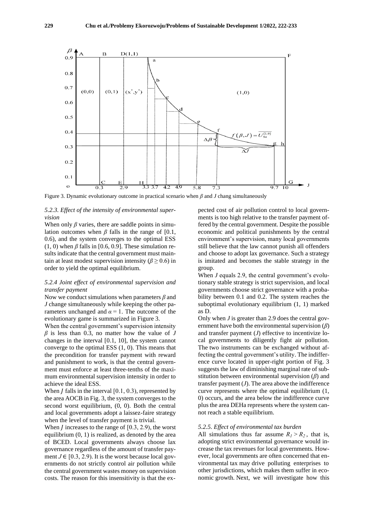

Figure 3. Dynamic evolutionary outcome in practical scenario when *β* and *J* chang simultaneously

#### *5.2.3. Effect of the intensity of environmental supervision*

When only  $\beta$  varies, there are saddle points in simulation outcomes when  $\beta$  falls in the range of [0.1, 0.6), and the system converges to the optimal ESS  $(1, 0)$  when  $\beta$  falls in [0.6, 0.9]. These simulation results indicate that the central government must maintain at least modest supervision intensity ( $\beta \ge 0.6$ ) in order to yield the optimal equilibrium.

### *5.2.4 Joint effect of environmental supervision and transfer payment*

Now we conduct simulations when parameters *β* and *J* change simultaneously while keeping the other parameters unchanged and  $\alpha = 1$ . The outcome of the evolutionary game is summarized in Figure 3.

When the central government's supervision intensity *β* is less than 0.3, no matter how the value of *J* changes in the interval [0.1, 10], the system cannot converge to the optimal ESS (1, 0). This means that the precondition for transfer payment with reward and punishment to work, is that the central government must enforce at least three-tenths of the maximum environmental supervision intensity in order to achieve the ideal ESS.

When  *falls in the interval*  $[0.1, 0.3)$ *, represented by* the area AOCB in Fig. 3, the system converges to the second worst equilibrium, (0, 0). Both the central and local governments adopt a laissez-faire strategy when the level of transfer payment is trivial.

When  *increases to the range of [0.3, 2.9), the worst* equilibrium (0, 1) is realized, as denoted by the area of BCED. Local governments always choose lax governance regardless of the amount of transfer payment  $J \in [0.3, 2.9)$ . It is the worst because local governments do not strictly control air pollution while the central government wastes money on supervision costs. The reason for this insensitivity is that the expected cost of air pollution control to local governments is too high relative to the transfer payment offered by the central government. Despite the possible economic and political punishments by the central environment's supervision, many local governments still believe that the law cannot punish all offenders and choose to adopt lax governance. Such a strategy is imitated and becomes the stable strategy in the group.

When *J* equals 2.9, the central government's evolutionary stable strategy is strict supervision, and local governments choose strict governance with a probability between 0.1 and 0.2. The system reaches the suboptimal evolutionary equilibrium (1, 1) marked as D.

Only when *J* is greater than 2.9 does the central government have both the environmental supervision (*β*) and transfer payment (*J*) effective to incentivize local governments to diligently fight air pollution. The two instruments can be exchanged without affecting the central government's utility. The indifference curve located in upper-right portion of Fig. 3 suggests the law of diminishing marginal rate of substitution between environmental supervision (*β*) and transfer payment  $(J)$ . The area above the indifference curve represents where the optimal equilibrium (1, 0) occurs, and the area below the indifference curve plus the area DEHa represents where the system cannot reach a stable equilibrium.

#### *5.2.5. Effect of environmental tax burden*

All simulations thus far assume  $R_1 > R_2$ , that is, adopting strict environmental governance would increase the tax revenues for local governments. However, local governments are often concerned that environmental tax may drive polluting enterprises to other jurisdictions, which makes them suffer in economic growth. Next, we will investigate how this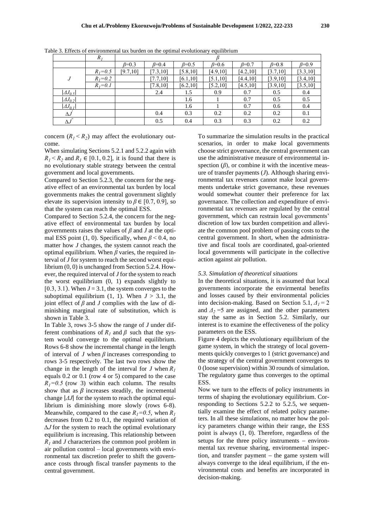|                       | $R_I$         |               |               |               |               |                |                |               |
|-----------------------|---------------|---------------|---------------|---------------|---------------|----------------|----------------|---------------|
|                       |               | $\beta = 0.3$ | $\beta = 0.4$ | $\beta = 0.5$ | $\beta = 0.6$ | $_{\beta=0.7}$ | $_{\beta=0.8}$ | $\beta = 0.9$ |
|                       | $R_1 = 0.5$   | [9.7, 10]     | [7.3, 10]     | [5.8, 10]     | [4.9, 10]     | [4.2, 10]      | [3.7, 10]      | [3.3, 10]     |
| J                     | $R_1 = 0.2$   |               | [7.7, 10]     | [6.1, 10]     | [5.1, 10]     | [4.4, 10]      | [3.9, 10]      | [3.4, 10]     |
|                       | $R_{I} = 0.1$ |               | [7.8, 10]     | [6.2, 10]     | [5.2, 10]     | [4.5, 10]      | [3.9, 10]      | [3.5, 10]     |
| $ A J_{0.5} $         |               |               | 2.4           | 1.5           | 0.9           | 0.7            | 0.5            | 0.4           |
| $ AJ_{0,2} $          |               |               |               | 1.6           |               | 0.7            | 0.5            | 0.5           |
| $ AJ_{0.1} $          |               |               |               | 1.6           |               | 0.7            | 0.6            | 0.4           |
| $\Delta J$            |               |               | 0.4           | 0.3           | 0.2           | 0.2            | 0.2            | 0.1           |
| $\overline{\Delta J}$ |               |               | 0.5           | 0.4           | 0.3           | 0.3            | 0.2            | 0.2           |

Table 3. Effects of environmental tax burden on the optimal evolutionary equilibrium

concern  $(R_1 < R_2)$  may affect the evolutionary outcome.

When simulating Sections 5.2.1 and 5.2.2 again with  $R_1$  <  $R_2$  and  $R_1$   $\in$  [0.1, 0.2], it is found that there is no evolutionary stable strategy between the central government and local governments.

Compared to Section 5.2.3, the concern for the negative effect of an environmental tax burden by local governments makes the central government slightly elevate its supervision intensity to  $\beta \in [0.7, 0.9]$ , so that the system can reach the optimal ESS.

Compared to Section 5.2.4, the concern for the negative effect of environmental tax burden by local governments raises the values of *β* and *J* at the optimal ESS point (1, 0). Specifically, when  $\beta$  < 0.4, no matter how *J* changes, the system cannot reach the optimal equilibrium. When *β* varies, the required interval of *J* for system to reach the second worst equilibrium (0, 0) is unchanged from Section 5.2.4. However, the required interval of *J* for the system to reach the worst equilibrium (0, 1) expands slightly to [0.3, 3.1]. When  $J = 3.1$ , the system converges to the suboptimal equilibrium  $(1, 1)$ . When  $J > 3.1$ , the joint effect of  $\beta$  and  $J$  complies with the law of diminishing marginal rate of substitution, which is shown in Table 3.

In Table 3, rows 3-5 show the range of *J* under different combinations of  $R_I$  and  $\beta$  such that the system would converge to the optimal equilibrium. Rows 6-8 show the incremental change in the length of interval of *J* when *β* increases corresponding to rows 3-5 respectively. The last two rows show the change in the length of the interval for *J* when  $R_1$ equals 0.2 or 0.1 (row 4 or 5) compared to the case  $R_1 = 0.5$  (row 3) within each column. The results show that as  $\beta$  increases steadily, the incremental change |*ΔJ*| for the system to reach the optimal equilibrium is diminishing more slowly (rows 6-8). Meanwhile, compared to the case  $R_1 = 0.5$ , when  $R_1$ decreases from 0.2 to 0.1, the required variation of *∆J* for the system to reach the optimal evolutionary equilibrium is increasing. This relationship between *R<sup>1</sup>* and *J* characterizes the common pool problem in air pollution control – local governments with environmental tax discretion prefer to shift the governance costs through fiscal transfer payments to the central government.

To summarize the simulation results in the practical scenarios, in order to make local governments choose strict governance, the central government can use the administrative measure of environmental inspection  $(\beta)$ , or combine it with the incentive measure of transfer payments (*J*). Although sharing environmental tax revenues cannot make local governments undertake strict governance, these revenues would somewhat counter their preference for lax governance. The collection and expenditure of environmental tax revenues are regulated by the central government, which can restrain local governments' discretion of low tax burden competition and alleviate the common pool problem of passing costs to the central government. In short, when the administrative and fiscal tools are coordinated, goal-oriented local governments will participate in the collective action against air pollution.

#### *5.3. Simulation of theoretical situations*

In the theoretical situations, it is assumed that local governments incorporate the envirmental benefits and losses caused by their environmental policies into decision-making. Based on Section 5.1,  $\Delta_l = 2$ and  $\Delta$ <sub>2</sub> = 5 are assigned, and the other parameters stay the same as in Section 5.2. Similarly, our interest is to examine the effectiveness of the policy parameters on the ESS.

Figure 4 depicts the evolutionary equilibrium of the game system, in which the strategy of local governments quickly converges to 1 (strict governance) and the strategy of the central government converges to 0 (loose supervision) within 30 rounds of simulation. The regulatory game thus converges to the optimal ESS.

Now we turn to the effects of policy instruments in terms of shaping the evolutionary equilibrium. Corresponding to Sections 5.2.2 to 5.2.5, we sequentially examine the effect of related policy parameters. In all these simulations, no matter how the policy parameters change within their range, the ESS point is always (1, 0). Therefore, regardless of the setups for the three policy instruments – environmental tax revenue sharing, environmental inspection, and transfer payment − the game system will always converge to the ideal equilibrium, if the environmental costs and benefits are incorporated in decision-making.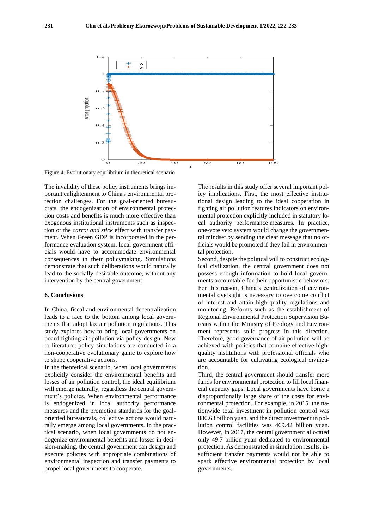

Figure 4. Evolutionary equilibrium in theoretical scenario

The invalidity of these policy instruments brings important enlightenment to China's environmental protection challenges. For the goal-oriented bureaucrats, the endogenization of environmental protection costs and benefits is much more effective than exogenous institutional instruments such as inspection or the *carrot and stick* effect with transfer payment. When Green GDP is incorporated in the performance evaluation system, local government officials would have to accommodate environmental consequences in their policymaking. Simulations demonstrate that such deliberations would naturally lead to the socially desirable outcome, without any intervention by the central government.

#### **6. Conclusions**

In China, fiscal and environmental decentralization leads to a race to the bottom among local governments that adopt lax air pollution regulations. This study explores how to bring local governments on board fighting air pollution via policy design. New to literature, policy simulations are conducted in a non-cooperative evolutionary game to explore how to shape cooperative actions.

In the theoretical scenario, when local governments explicitly consider the environmental benefits and losses of air pollution control, the ideal equilibrium will emerge naturally, regardless the central government's policies. When environmental performance is endogenized in local authority performance measures and the promotion standards for the goaloriented bureaucrats, collective actions would naturally emerge among local governments. In the practical scenario, when local governments do not endogenize environmental benefits and losses in decision-making, the central government can design and execute policies with appropriate combinations of environmental inspection and transfer payments to propel local governments to cooperate.

The results in this study offer several important policy implications. First, the most effective institutional design leading to the ideal cooperation in fighting air pollution features indicators on environmental protection explicitly included in statutory local authority performance measures. In practice, one-vote veto system would change the governmental mindset by sending the clear message that no officials would be promoted if they fail in environmental protection.

Second, despite the political will to construct ecological civilization, the central government does not possess enough information to hold local governments accountable for their opportunistic behaviors. For this reason, China's centralization of environmental oversight is necessary to overcome conflict of interest and attain high-quality regulations and monitoring. Reforms such as the establishment of Regional Environmental Protection Supervision Bureaus within the Ministry of Ecology and Environment represents solid progress in this direction. Therefore, good governance of air pollution will be achieved with policies that combine effective highquality institutions with professional officials who are accountable for cultivating ecological civilization.

Third, the central government should transfer more funds for environmental protection to fill local financial capacity gaps. Local governments have borne a disproportionally large share of the costs for environmental protection. For example, in 2015, the nationwide total investment in pollution control was 880.63 billion yuan, and the direct investment in pollution control facilities was 469.42 billion yuan. However, in 2017, the central government allocated only 49.7 billion yuan dedicated to environmental protection. As demonstrated in simulation results, insufficient transfer payments would not be able to spark effective environmental protection by local governments.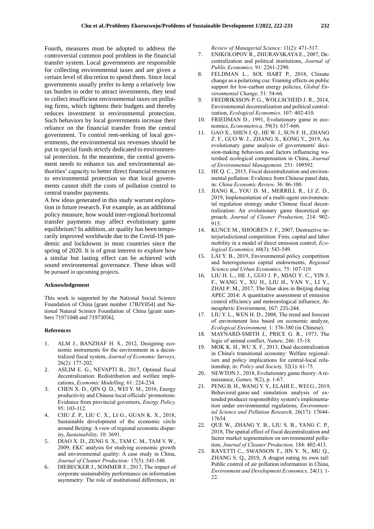Fourth, measures must be adopted to address the controversial common pool problem in the financial transfer system. Local governments are responsible for collecting environmental taxes and are given a certain level of discretion to spend them. Since local governments usually prefer to keep a relatively low tax burden in order to attract investments, they tend to collect insufficient environmental taxes on polluting firms, which tightens their budgets and thereby reduces investment in environmental protection. Such behaviors by local governments increase their reliance on the financial transfer from the central government. To control rent-seeking of local governments, the environmental tax revenues should be put in special funds strictly dedicated to environmental protection. In the meantime, the central government needs to enhance tax and environmental authorities' capacity to better direct financial resources to environmental protection so that local governments cannot shift the costs of pollution control to central transfer payments.

A few ideas generated in this study warrant exploration in future research. For example, as an additional policy measure, how would inter-regional horizontal transfer payments may affect evolutionary game equilibrium? In addition, air quality has been temporarily improved worldwide due to the Covid-19 pandemic and lockdowns in most countries since the spring of 2020. It is of great interest to explore how a similar but lasting effect can be achieved with sound environmental governance. These ideas will be pursued in upcoming projects.

#### **Acknowledgement**

This work is supported by the National Social Science Foundation of China [grant number 17BJY054] and National Natural Science Foundation of China [grant numbers 71971048 and 71973056].

#### **References**

- 1. ALM J., BANZHAF H. S., 2012, Designing economic instruments for the environment in a decentralized fiscal system, *Journal of Economic Surveys,* 26(2): 177-202.
- 2. ASLIM E. G., NEVAPTI B., 2017, Optimal fiscal decentralization: Redistribution and welfare implications, *Economic Modelling,* 61: 224-234.
- 3. CHEN X. D., QIN Q. D., WEI Y. M., 2016, Energy productivity and Chinese local officials' promotions: Evidence from provincial governors, *Energy Policy,* 95: 103-112.
- 4. CHU Z. P., LIU C. X., LI G., GUAN K. X., 2018, Sustainable development of the economic circle around Beijing: A view of regional economic disparity, *Sustainability,* 10: 3691.
- 5. DIAO X. D., ZENG S. X., TAM C. M., TAM V. W., 2009, EKC analysis for studying economic growth and environmental quality: A case study in China, *Journal of Cleaner Production:* 17(5): 541-548.
- 6. DIEBECKER J., SOMMER F., 2017, The impact of corporate sustainability performance on information asymmetry: The role of institutional differences, in:

*Review of Managerial Science:* 11(2): 471-517.

- 7. ENIKOLOPOV R., ZHURAVSKAYA E., 2007, Decentralization and political institutions, *Journal of Public Economics,* 91: 2261-2290.
- 8. FELDMAN L., SOL HART P., 2018, Climate change as a polarizing cue: Framing effects on public support for low-carbon energy policies, *Global Environmental Change,* 51: 54-66.
- 9. FREDRIKSSON P. G., WOLLSCHEID J. R., 2014, Environmental decentralization and political centralization, *Ecological Economics,* 107: 402-410.
- 10. FRIEDMAN D., 1991, Evolutionary game in economics, *Econometrica,* 59(3): 637-666.
- 11. [GAO X.](http://apps.webofknowledge.com/OutboundService.do?SID=5F5yZ4SVuePFErdYtD3&mode=rrcAuthorRecordService&action=go&product=WOS&lang=zh_CN&daisIds=1835033)[, SHEN J. Q.](http://apps.webofknowledge.com/OutboundService.do?SID=5F5yZ4SVuePFErdYtD3&mode=rrcAuthorRecordService&action=go&product=WOS&lang=zh_CN&daisIds=2859735)[, HE W. J.](http://apps.webofknowledge.com/OutboundService.do?SID=5F5yZ4SVuePFErdYtD3&mode=rrcAuthorRecordService&action=go&product=WOS&lang=zh_CN&daisIds=652286)[, SUN F. H.,](http://apps.webofknowledge.com/OutboundService.do?SID=5F5yZ4SVuePFErdYtD3&mode=rrcAuthorRecordService&action=go&product=WOS&lang=zh_CN&daisIds=1984755) [ZHANG](http://apps.webofknowledge.com/OutboundService.do?SID=5F5yZ4SVuePFErdYtD3&mode=rrcAuthorRecordService&action=go&product=WOS&lang=zh_CN&daisIds=10016749)  [Z. F.](http://apps.webofknowledge.com/OutboundService.do?SID=5F5yZ4SVuePFErdYtD3&mode=rrcAuthorRecordService&action=go&product=WOS&lang=zh_CN&daisIds=10016749), [GUO W. J.](http://apps.webofknowledge.com/OutboundService.do?SID=5F5yZ4SVuePFErdYtD3&mode=rrcAuthorRecordService&action=go&product=WOS&lang=zh_CN&daisIds=537643), [ZHANG X.](http://apps.webofknowledge.com/OutboundService.do?SID=5F5yZ4SVuePFErdYtD3&mode=rrcAuthorRecordService&action=go&product=WOS&lang=zh_CN&daisIds=9972272)[, KONG Y.](http://apps.webofknowledge.com/OutboundService.do?SID=5F5yZ4SVuePFErdYtD3&mode=rrcAuthorRecordService&action=go&product=WOS&lang=zh_CN&daisIds=2959446), 2019, An evolutionary game analysis of governments' decision-making behaviors and factors influencing watershed ecological compensation in China, *Journal of Environmental Management,* 251: 109592.
- 12. HE Q. C., 2015, Fiscal decentralization and environmental pollution: Evidence from Chinese panel data, in: *China Economic Review,* 36: 86-100.
- 13. JIANG K., YOU D. M., MERRILL R., LI Z. D., 2019, Implementation of a multi-agent environmental regulation strategy under Chinese fiscal decentralization: An evolutionary game theoretical approach, *Journal of Cleaner Production,* 214: 902- 915.
- 14. KUNCE M., SHOGREN J. F., 2007, Destructive interjurisdictional competition: Firm, capital and labor mobility in a model of direct emission control, *Ecological Economics,* 60(3): 543-549.
- 15. LAI Y. B., 2019, Environmental policy competition and heterogeneous capital endowments, *Regional Science and Urban Economics,* 75: 107-119.
- 16. LIU H. L., HE J., GUO J. P., MIAO Y. C., YIN J. F., WANG Y., XU H., LIU H., YAN Y., LI Y., ZHAI P. M., 2017, The blue skies in Beijing during APEC 2014: A quantitative assessment of emission control efficiency and meteorological influence, *Atmospheric Environment,* 167: 235-244.
- 17. LIU Y. L., WEN H. D., 2008, The trend and forecast of environment loss based on economic analyze, *Ecological Environment,* 1: 376-380 (in Chinese).
- 18. MAYNARD-SMITH J., PRICE G. R., 1973, The logic of animal conflict, *Nature*, 246: 15-18.
- 19. MOK K. H., WU X. F., 2013, Dual decentralization in China's transitional economy: Welfare regionalism and policy implications for central-local relationship, in: *Policy and Society,* 32(1): 61-75.
- 20. NEWTON J., 2018, Evolutionary game theory: A renaissance, *Games,* 9(2), p. 1-67.
- 21. PENG B. H., WANG Y. Y., ELAHI E., WEI G., 2019, Behavioral game and simulation analysis of extended producer responsibility system's implementation under environmental regulations, *Environmental Science and Pollution Research,* 26(17): 17644- 17654.
- 22. QUE W., ZHANG Y. B., LIU S. B., YANG C. P., 2018, The spatial effect of fiscal decentralization and factor market segmentation on environmental pollution, *Journal of Cleaner Production,* 184: 402-413.
- 23. [RAVETTI C.](http://apps.webofknowledge.com/OutboundService.do?SID=7FlJU1HPzFzlddverLu&mode=rrcAuthorRecordService&action=go&product=WOS&lang=zh_CN&daisIds=28078553), [SWANSON T.](http://apps.webofknowledge.com/OutboundService.do?SID=7FlJU1HPzFzlddverLu&mode=rrcAuthorRecordService&action=go&product=WOS&lang=zh_CN&daisIds=3736785), [JIN Y. N.](http://apps.webofknowledge.com/OutboundService.do?SID=7FlJU1HPzFzlddverLu&mode=rrcAuthorRecordService&action=go&product=WOS&lang=zh_CN&daisIds=5536742), [MU Q.](http://apps.webofknowledge.com/OutboundService.do?SID=7FlJU1HPzFzlddverLu&mode=rrcAuthorRecordService&action=go&product=WOS&lang=zh_CN&daisIds=2704588), [ZHANG S. Q.](http://apps.webofknowledge.com/OutboundService.do?SID=7FlJU1HPzFzlddverLu&mode=rrcAuthorRecordService&action=go&product=WOS&lang=zh_CN&daisIds=1388033), 2019, A dragon eating its own tail: Public control of air pollution information in China, *Environment and Development Economics,* 24(1): 1- 22.